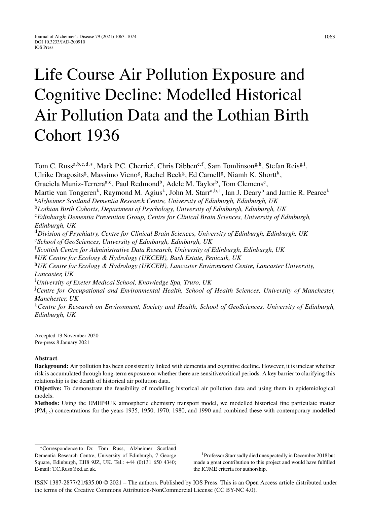# Life Course Air Pollution Exposure and Cognitive Decline: Modelled Historical Air Pollution Data and the Lothian Birth Cohort 1936

Tom C. Russ<sup>a,b,c,d,∗</sup>, Mark P.C. Cherrie<sup>e</sup>, Chris Dibben<sup>e, f</sup>, Sam Tomlinson<sup>g, h</sup>, Stefan Reis<sup>g, i</sup>, Ulrike Dragosits<sup>g</sup>, Massimo Vieno<sup>g</sup>, Rachel Beck<sup>g</sup>, Ed Carnell<sup>g</sup>, Niamh K. Shortt<sup>k</sup>, Graciela Muniz-Terrera<sup>a, c</sup>, Paul Redmond<sup>b</sup>, Adele M. Taylor<sup>b</sup>, Tom Clemens<sup>e</sup>, Martie van Tongeren<sup>k</sup>, Raymond M. Agius<sup>k</sup>, John M. Starr<sup>a,b,1</sup>, Ian J. Deary<sup>b</sup> and Jamie R. Pearce<sup>k</sup> <sup>a</sup>*Alzheimer Scotland Dementia Research Centre, University of Edinburgh, Edinburgh, UK* <sup>b</sup>*Lothian Birth Cohorts, Department of Psychology, University of Edinburgh, Edinburgh, UK* <sup>c</sup>*Edinburgh Dementia Prevention Group, Centre for Clinical Brain Sciences, University of Edinburgh, Edinburgh, UK* <sup>d</sup>*Division of Psychiatry, Centre for Clinical Brain Sciences, University of Edinburgh, Edinburgh, UK* <sup>e</sup>*School of GeoSciences, University of Edinburgh, Edinburgh, UK* <sup>f</sup>*Scottish Centre for Administrative Data Research, University of Edinburgh, Edinburgh, UK* <sup>g</sup>*UK Centre for Ecology & Hydrology (UKCEH), Bush Estate, Penicuik, UK* <sup>h</sup>*UK Centre for Ecology & Hydrology (UKCEH), Lancaster Environment Centre, Lancaster University, Lancaster, UK* i *University of Exeter Medical School, Knowledge Spa, Truro, UK* j *Centre for Occupational and Environmental Health, School of Health Sciences, University of Manchester, Manchester, UK* <sup>k</sup>*Centre for Research on Environment, Society and Health, School of GeoSciences, University of Edinburgh, Edinburgh, UK*

Accepted 13 November 2020 Pre-press 8 January 2021

## **Abstract**.

**Background:** Air pollution has been consistently linked with dementia and cognitive decline. However, it is unclear whether risk is accumulated through long-term exposure or whether there are sensitive/critical periods. A key barrier to clarifying this relationship is the dearth of historical air pollution data.

**Objective:** To demonstrate the feasibility of modelling historical air pollution data and using them in epidemiological models.

**Methods:** Using the EMEP4UK atmospheric chemistry transport model, we modelled historical fine particulate matter  $(PM<sub>2.5</sub>)$  concentrations for the years 1935, 1950, 1970, 1980, and 1990 and combined these with contemporary modelled

1Professor Starr sadly died unexpectedly in December 2018 but made a great contribution to this project and would have fulfilled the ICJME criteria for authorship.

ISSN 1387-2877/21/\$35.00 © 2021 – The authors. Published by IOS Press. This is an Open Access article distributed under the terms of the [Creative Commons Attribution-NonCommercial License \(CC BY-NC 4.0\).](https://creativecommons.org/licenses/by-nc/4.0/)

<sup>∗</sup>Correspondence to: Dr. Tom Russ, Alzheimer Scotland Dementia Research Centre, University of Edinburgh, 7 George Square, Edinburgh, EH8 9JZ, UK. Tel.: +44 (0)131 650 4340; E-mail: [T.C.Russ@ed.ac.uk.](mailto:T.C.Russ@ed.ac.uk)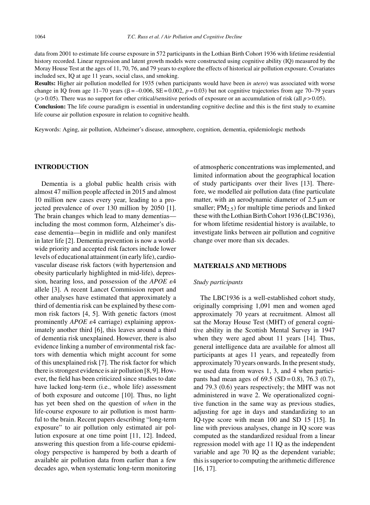data from 2001 to estimate life course exposure in 572 participants in the Lothian Birth Cohort 1936 with lifetime residential history recorded. Linear regression and latent growth models were constructed using cognitive ability (IQ) measured by the Moray House Test at the ages of 11, 70, 76, and 79 years to explore the effects of historical air pollution exposure. Covariates included sex, IQ at age 11 years, social class, and smoking.

**Results:** Higher air pollution modelled for 1935 (when participants would have been *in utero*) was associated with worse change in IQ from age 11–70 years ( $\beta = -0.006$ ,  $SE = 0.002$ ,  $p = 0.03$ ) but not cognitive trajectories from age 70–79 years  $(p > 0.05)$ . There was no support for other critical/sensitive periods of exposure or an accumulation of risk (all  $p > 0.05$ ).

**Conclusion:** The life course paradigm is essential in understanding cognitive decline and this is the first study to examine life course air pollution exposure in relation to cognitive health.

Keywords: Aging, air pollution, Alzheimer's disease, atmosphere, cognition, dementia, epidemiologic methods

## **INTRODUCTION**

Dementia is a global public health crisis with almost 47 million people affected in 2015 and almost 10 million new cases every year, leading to a projected prevalence of over 130 million by 2050 [1]. The brain changes which lead to many dementias including the most common form, Alzheimer's disease dementia—begin in midlife and only manifest in later life [2]. Dementia prevention is now a worldwide priority and accepted risk factors include lower levels of educational attainment (in early life), cardiovascular disease risk factors (with hypertension and obesity particularly highlighted in mid-life), depression, hearing loss, and possession of the *APOE*  $\varepsilon$ 4 allele [3]. A recent Lancet Commission report and other analyses have estimated that approximately a third of dementia risk can be explained by these common risk factors [4, 5]. With genetic factors (most prominently  $APOE$   $\varepsilon$ 4 carriage) explaining approximately another third [6], this leaves around a third of dementia risk unexplained. However, there is also evidence linking a number of environmental risk factors with dementia which might account for some of this unexplained risk [7]. The risk factor for which there is strongest evidence is air pollution [8, 9]. However, the field has been criticized since studies to date have lacked long-term (i.e., whole life) assessment of both exposure and outcome [10]. Thus, no light has yet been shed on the question of *when* in the life-course exposure to air pollution is most harmful to the brain. Recent papers describing "long-term exposure" to air pollution only estimated air pollution exposure at one time point [11, 12]. Indeed, answering this question from a life-course epidemiology perspective is hampered by both a dearth of available air pollution data from earlier than a few decades ago, when systematic long-term monitoring

of atmospheric concentrations was implemented, and limited information about the geographical location of study participants over their lives [13]. Therefore, we modelled air pollution data (fine particulate matter, with an aerodynamic diameter of  $2.5 \mu m$  or smaller;  $PM_{2.5}$ ) for multiple time periods and linked these with the Lothian Birth Cohort 1936 (LBC1936), for whom lifetime residential history is available, to investigate links between air pollution and cognitive change over more than six decades.

## **MATERIALS AND METHODS**

#### *Study participants*

The LBC1936 is a well-established cohort study, originally comprising 1,091 men and women aged approximately 70 years at recruitment. Almost all sat the Moray House Test (MHT) of general cognitive ability in the Scottish Mental Survey in 1947 when they were aged about 11 years [14]. Thus, general intelligence data are available for almost all participants at ages 11 years, and repeatedly from approximately 70 years onwards. In the present study, we used data from waves 1, 3, and 4 when participants had mean ages of  $69.5$  (SD = 0.8), 76.3 (0.7), and 79.3 (0.6) years respectively; the MHT was not administered in wave 2. We operationalized cognitive function in the same way as previous studies, adjusting for age in days and standardizing to an IQ-type score with mean 100 and SD 15 [15]. In line with previous analyses, change in IQ score was computed as the standardized residual from a linear regression model with age 11 IQ as the independent variable and age 70 IQ as the dependent variable; this is superior to computing the arithmetic difference [16, 17].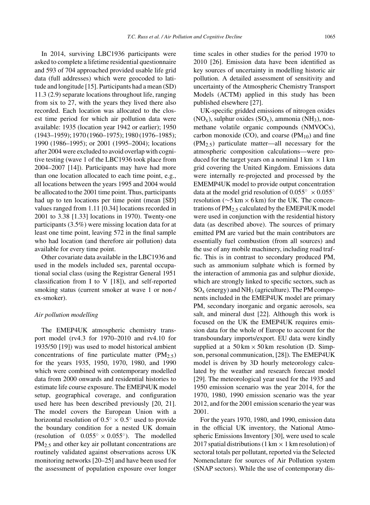In 2014, surviving LBC1936 participants were asked to complete a lifetime residential questionnaire and 593 of 704 approached provided usable life grid data (full addresses) which were geocoded to latitude and longitude [15]. Participants had a mean (SD) 11.3 (2.9) separate locations throughout life, ranging from six to 27, with the years they lived there also recorded. Each location was allocated to the closest time period for which air pollution data were available: 1935 (location year 1942 or earlier); 1950 (1943–1959); 1970 (1960–1975); 1980 (1976–1985); 1990 (1986–1995); or 2001 (1995–2004); locations after 2004 were excluded to avoid overlap with cognitive testing (wave 1 of the LBC1936 took place from 2004–2007 [14]). Participants may have had more than one location allocated to each time point, e.g., all locations between the years 1995 and 2004 would be allocated to the 2001 time point. Thus, participants had up to ten locations per time point (mean [SD] values ranged from 1.11 [0.34] locations recorded in 2001 to 3.38 [1.33] locations in 1970). Twenty-one participants (3.5%) were missing location data for at least one time point, leaving 572 in the final sample who had location (and therefore air pollution) data available for every time point.

Other covariate data available in the LBC1936 and used in the models included sex, parental occupational social class (using the Registrar General 1951 classification from I to V [18]), and self-reported smoking status (current smoker at wave 1 or non-/ ex-smoker).

#### *Air pollution modelling*

The EMEP4UK atmospheric chemistry transport model (rv4.3 for 1970–2010 and rv4.10 for 1935/50 [19]) was used to model historical ambient concentrations of fine particulate matter  $(PM_2, 5)$ for the years 1935, 1950, 1970, 1980, and 1990 which were combined with contemporary modelled data from 2000 onwards and residential histories to estimate life course exposure. The EMEP4UK model setup, geographical coverage, and configuration used here has been described previously [20, 21]. The model covers the European Union with a horizontal resolution of  $0.5° \times 0.5°$  used to provide the boundary condition for a nested UK domain (resolution of  $0.055° \times 0.055°$ ). The modelled PM<sub>2.5</sub> and other key air pollutant concentrations are routinely validated against observations across UK monitoring networks [20–25] and have been used for the assessment of population exposure over longer time scales in other studies for the period 1970 to 2010 [26]. Emission data have been identified as key sources of uncertainty in modelling historic air pollution. A detailed assessment of sensitivity and uncertainty of the Atmospheric Chemistry Transport Models (ACTM) applied in this study has been published elsewhere [27].

UK-specific gridded emissions of nitrogen oxides  $(NO<sub>x</sub>)$ , sulphur oxides  $(SO<sub>x</sub>)$ , ammonia  $(NH<sub>3</sub>)$ , nonmethane volatile organic compounds (NMVOCs), carbon monoxide (CO), and coarse  $(PM_{10})$  and fine (PM2.5) particulate matter—all necessary for the atmospheric composition calculations—were produced for the target years on a nominal  $1 \text{ km } \times 1 \text{ km}$ grid covering the United Kingdom. Emissions data were internally re-projected and processed by the EMEMP4UK model to provide output concentration data at the model grid resolution of  $0.055° \times 0.055°$ resolution ( $\sim$ 5 km  $\times$  6 km) for the UK. The concentrations of  $PM<sub>2.5</sub>$  calculated by the EMEP4UK model were used in conjunction with the residential history data (as described above). The sources of primary emitted PM are varied but the main contributors are essentially fuel combustion (from all sources) and the use of any mobile machinery, including road traffic. This is in contrast to secondary produced PM, such as ammonium sulphate which is formed by the interaction of ammonia gas and sulphur dioxide, which are strongly linked to specific sectors, such as  $SO<sub>x</sub>$  (energy) and NH<sub>3</sub> (agriculture). The PM components included in the EMEP4UK model are primary PM, secondary inorganic and organic aerosols, sea salt, and mineral dust [22]. Although this work is focused on the UK the EMEP4UK requires emission data for the whole of Europe to account for the transboundary imports/export. EU data were kindly supplied at a  $50 \text{ km} \times 50 \text{ km}$  resolution (D. Simpson, personal communication, [28]). The EMEP4UK model is driven by 3D hourly meteorology calculated by the weather and research forecast model [29]. The meteorological year used for the 1935 and 1950 emission scenario was the year 2014, for the 1970, 1980, 1990 emission scenario was the year 2012, and for the 2001 emission scenario the year was 2001.

For the years 1970, 1980, and 1990, emission data in the official UK inventory, the National Atmospheric Emissions Inventory [30], were used to scale 2017 spatial distributions (1 km  $\times$  1 km resolution) of sectoral totals per pollutant, reported via the Selected Nomenclature for sources of Air Pollution system (SNAP sectors). While the use of contemporary dis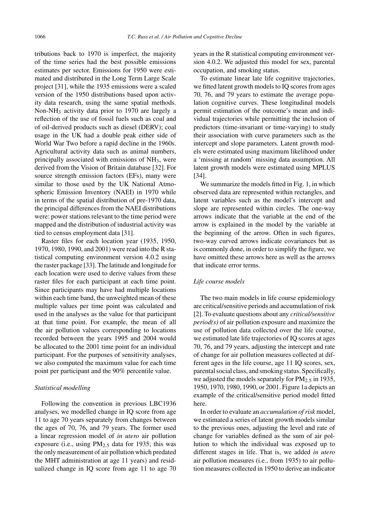tributions back to 1970 is imperfect, the majority of the time series had the best possible emissions estimates per sector. Emissions for 1950 were estimated and distributed in the Long Term Large Scale project [31], while the 1935 emissions were a scaled version of the 1950 distributions based upon activity data research, using the same spatial methods. Non-NH3 activity data prior to 1970 are largely a reflection of the use of fossil fuels such as coal and of oil-derived products such as diesel (DERV); coal usage in the UK had a double peak either side of World War Two before a rapid decline in the 1960s. Agricultural activity data such as animal numbers, principally associated with emissions of  $NH<sub>3</sub>$ , were derived from the Vision of Britain database [32]. For source strength emission factors (EFs), many were similar to those used by the UK National Atmospheric Emission Inventory (NAEI) in 1970 while in terms of the spatial distribution of pre-1970 data, the principal differences from the NAEI distributions were: power stations relevant to the time period were mapped and the distribution of industrial activity was tied to census employment data [31].

Raster files for each location year (1935, 1950, 1970, 1980, 1990, and 2001) were read into the R statistical computing environment version 4.0.2 using the raster package [33]. The latitude and longitude for each location were used to derive values from these raster files for each participant at each time point. Since participants may have had multiple locations within each time band, the unweighted mean of these multiple values per time point was calculated and used in the analyses as the value for that participant at that time point. For example, the mean of all the air pollution values corresponding to locations recorded between the years 1995 and 2004 would be allocated to the 2001 time point for an individual participant. For the purposes of sensitivity analyses, we also computed the maximum value for each time point per participant and the 90% percentile value.

#### *Statistical modelling*

Following the convention in previous LBC1936 analyses, we modelled change in IQ score from age 11 to age 70 years separately from changes between the ages of 70, 76, and 79 years. The former used a linear regression model of *in utero* air pollution exposure (i.e., using PM<sub>2.5</sub> data for 1935; this was the only measurement of air pollution which predated the MHT administration at age 11 years) and residualized change in IQ score from age 11 to age 70 years in the R statistical computing environment version 4.0.2. We adjusted this model for sex, parental occupation, and smoking status.

To estimate linear late life cognitive trajectories, we fitted latent growth models to IQ scores from ages 70, 76, and 79 years to estimate the average population cognitive curves. These longitudinal models permit estimation of the outcome's mean and individual trajectories while permitting the inclusion of predictors (time-invariant or time-varying) to study their association with curve parameters such as the intercept and slope parameters. Latent growth models were estimated using maximum likelihood under a 'missing at random' missing data assumption. All latent growth models were estimated using MPLUS [34].

We summarize the models fitted in Fig. 1, in which observed data are represented within rectangles, and latent variables such as the model's intercept and slope are represented within circles. The one-way arrows indicate that the variable at the end of the arrow is explained in the model by the variable at the beginning of the arrow. Often in such figures, two-way curved arrows indicate covariances but as is commonly done, in order to simplify the figure, we have omitted these arrows here as well as the arrows that indicate error terms.

## *Life course models*

The two main models in life course epidemiology are critical/sensitive periods and accumulation of risk [2]. To evaluate questions about any *critical/sensitive period(s)* of air pollution exposure and maximize the use of pollution data collected over the life course, we estimated late life trajectories of IQ scores at ages 70, 76, and 79 years, adjusting the intercept and rate of change for air pollution measures collected at different ages in the life course, age 11 IQ scores, sex, parental social class, and smoking status. Specifically, we adjusted the models separately for  $PM_{2.5}$  in 1935, 1950, 1970, 1980, 1990, or 2001. Figure 1a depicts an example of the critical/sensitive period model fitted here.

In order to evaluate an *accumulation of risk* model, we estimated a series of latent growth models similar to the previous ones, adjusting the level and rate of change for variables defined as the sum of air pollution to which the individual was exposed up to different stages in life. That is, we added *in utero* air pollution measures (i.e., from 1935) to air pollution measures collected in 1950 to derive an indicator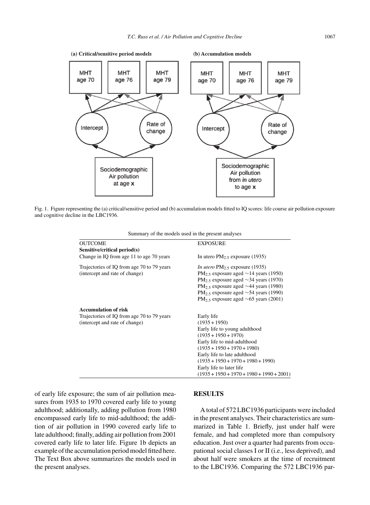

Fig. 1. Figure representing the (a) critical/sensitive period and (b) accumulation models fitted to IQ scores: life course air pollution exposure and cognitive decline in the LBC1936.

| Summary of the models used in the present analyses |  |  |  |  |
|----------------------------------------------------|--|--|--|--|
|----------------------------------------------------|--|--|--|--|

| <b>OUTCOME</b>                                                               | <b>EXPOSURE</b>                                                                                                                                                                                                                                                                                                                                    |
|------------------------------------------------------------------------------|----------------------------------------------------------------------------------------------------------------------------------------------------------------------------------------------------------------------------------------------------------------------------------------------------------------------------------------------------|
| Sensitive/critical period(s)                                                 |                                                                                                                                                                                                                                                                                                                                                    |
| Change in IQ from age 11 to age 70 years                                     | In utero $PM_{2.5}$ exposure (1935)                                                                                                                                                                                                                                                                                                                |
| Trajectories of IQ from age 70 to 79 years<br>(intercept and rate of change) | <i>In utero</i> $PM_{2.5}$ exposure (1935)<br>PM <sub>2</sub> $\varsigma$ exposure aged $\sim$ 14 years (1950)<br>PM <sub>2.5</sub> exposure aged $\sim$ 34 years (1970)<br>$PM_{2.5}$ exposure aged $\sim$ 44 years (1980)<br>$PM_{2.5}$ exposure aged $\sim$ 54 years (1990)<br>PM <sub>2</sub> $\varsigma$ exposure aged $\sim$ 65 years (2001) |
| <b>Accumulation of risk</b>                                                  |                                                                                                                                                                                                                                                                                                                                                    |
| Trajectories of IQ from age 70 to 79 years                                   | Early life                                                                                                                                                                                                                                                                                                                                         |
| (intercept and rate of change)                                               | $(1935 + 1950)$                                                                                                                                                                                                                                                                                                                                    |
|                                                                              | Early life to young adulthood                                                                                                                                                                                                                                                                                                                      |
|                                                                              | $(1935 + 1950 + 1970)$                                                                                                                                                                                                                                                                                                                             |
|                                                                              | Early life to mid-adulthood                                                                                                                                                                                                                                                                                                                        |
|                                                                              | $(1935 + 1950 + 1970 + 1980)$                                                                                                                                                                                                                                                                                                                      |
|                                                                              | Early life to late adulthood                                                                                                                                                                                                                                                                                                                       |
|                                                                              | $(1935 + 1950 + 1970 + 1980 + 1990)$                                                                                                                                                                                                                                                                                                               |
|                                                                              | Early life to later life                                                                                                                                                                                                                                                                                                                           |
|                                                                              | $(1935 + 1950 + 1970 + 1980 + 1990 + 2001)$                                                                                                                                                                                                                                                                                                        |

of early life exposure; the sum of air pollution measures from 1935 to 1970 covered early life to young adulthood; additionally, adding pollution from 1980 encompassed early life to mid-adulthood; the addition of air pollution in 1990 covered early life to late adulthood; finally, adding air pollution from 2001 covered early life to later life. Figure 1b depicts an example of the accumulation period model fitted here. The Text Box above summarizes the models used in the present analyses.

#### **RESULTS**

A total of 572 LBC1936 participants were included in the present analyses. Their characteristics are summarized in Table 1. Briefly, just under half were female, and had completed more than compulsory education. Just over a quarter had parents from occupational social classes I or II (i.e., less deprived), and about half were smokers at the time of recruitment to the LBC1936. Comparing the 572 LBC1936 par-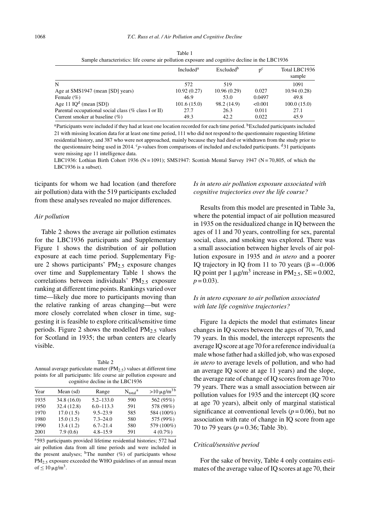|                                                      | Included <sup>a</sup> | Excluded <sup>b</sup> | $n^{c}$ | Total LBC1936<br>sample |
|------------------------------------------------------|-----------------------|-----------------------|---------|-------------------------|
| N                                                    | 572                   | 519                   |         | 1091                    |
| Age at SMS1947 (mean [SD] years)                     | 10.92(0.27)           | 10.96(0.29)           | 0.027   | 10.94(0.28)             |
| Female $(\% )$                                       | 46.9                  | 53.0                  | 0.0497  | 49.8                    |
| Age 11 $IQd$ (mean [SD])                             | 101.6(15.0)           | 98.2 (14.9)           | < 0.001 | 100.0(15.0)             |
| Parental occupational social class (% class I or II) | 27.7                  | 26.3                  | 0.011   | 27.1                    |
| Current smoker at baseline $(\%)$                    | 49.3                  | 42.2                  | 0.022   | 45.9                    |

Table 1 Sample characteristics: life course air pollution exposure and cognitive decline in the LBC1936

<sup>a</sup>Participants were included if they had at least one location recorded for each time period. <sup>b</sup>Excluded participants included 21 with missing location data for at least one time period, 111 who did not respond to the questionnaire requesting lifetime residential history, and 387 who were not approached, mainly because they had died or withdrawn from the study prior to the questionnaire being used in 2014. <sup>c</sup>p-values from comparisons of included and excluded participants. <sup>d</sup>31 participants were missing age 11 intelligence data.

LBC1936: Lothian Birth Cohort 1936 (N = 1091); SMS1947: Scottish Mental Survey 1947 (N = 70,805, of which the LBC1936 is a subset).

ticipants for whom we had location (and therefore air pollution) data with the 519 participants excluded from these analyses revealed no major differences.

#### *Air pollution*

Table 2 shows the average air pollution estimates for the LBC1936 participants and Supplementary Figure 1 shows the distribution of air pollution exposure at each time period. Supplementary Figure 2 shows participants'  $PM_{2.5}$  exposure changes over time and Supplementary Table 1 shows the correlations between individuals' PM $_2$ .5 exposure ranking at different time points. Rankings varied over time—likely due more to participants moving than the relative ranking of areas changing—but were more closely correlated when closer in time, suggesting it is feasible to explore critical/sensitive time periods. Figure 2 shows the modelled  $PM<sub>2.5</sub>$  values for Scotland in 1935; the urban centers are clearly visible.

Table 2 Annual average particulate matter  $(PM<sub>2.5</sub>)$  values at different time points for all participants: life course air pollution exposure and cognitive decline in the LBC1936

| Year | Mean (sd)   | Range         | $N_{\text{total}}^{\text{a}}$ | $>10 \mu g/m^3 b$ |
|------|-------------|---------------|-------------------------------|-------------------|
| 1935 | 34.8 (16.0) | $5.2 - 133.0$ | 590                           | 562 (95%)         |
| 1950 | 32.4 (12.8) | $6.0 - 113.3$ | 591                           | 578 (98%)         |
| 1970 | 17.0(1.5)   | $9.5 - 23.9$  | 585                           | 584 (100%)        |
| 1980 | 15.0(1.5)   | $7.3 - 24.0$  | 580                           | 575 (99%)         |
| 1990 | 13.4(1.2)   | $6.7 - 21.4$  | 580                           | 579 (100%)        |
| 2001 | 7.9(0.6)    | $4.8 - 15.9$  | 591                           | $4(0.7\%)$        |

a593 participants provided lifetime residential histories; 572 had air pollution data from all time periods and were included in the present analyses;  $b$ The number (%) of participants whose PM<sub>2.5</sub> exposure exceeded the WHO guidelines of an annual mean of  $\leq 10 \,\mathrm{\upmu g/m^3}$ .

## *Is in utero air pollution exposure associated with cognitive trajectories over the life course?*

Results from this model are presented in Table 3a, where the potential impact of air pollution measured in 1935 on the residualized change in IQ between the ages of 11 and 70 years, controlling for sex, parental social, class, and smoking was explored. There was a small association between higher levels of air pollution exposure in 1935 and *in utero* and a poorer IQ trajectory in IQ from 11 to 70 years ( $\beta = -0.006$ IO point per 1  $\mu$ g/m<sup>3</sup> increase in PM<sub>2.5</sub>, SE = 0.002,  $p = 0.03$ ).

## *Is in utero exposure to air pollution associated with late life cognitive trajectories?*

Figure 1a depicts the model that estimates linear changes in IQ scores between the ages of 70, 76, and 79 years. In this model, the intercept represents the average IQ score at age 70 for a reference individual (a male whose father had a skilled job, who was exposed *in utero* to average levels of pollution, and who had an average IQ score at age 11 years) and the slope, the average rate of change of IQ scores from age 70 to 79 years. There was a small association between air pollution values for 1935 and the intercept (IQ score at age 70 years), albeit only of marginal statistical significance at conventional levels ( $p = 0.06$ ), but no association with rate of change in IQ score from age 70 to 79 years (*p* = 0.36; Table 3b).

## *Critical/sensitive period*

For the sake of brevity, Table 4 only contains estimates of the average value of IQ scores at age 70, their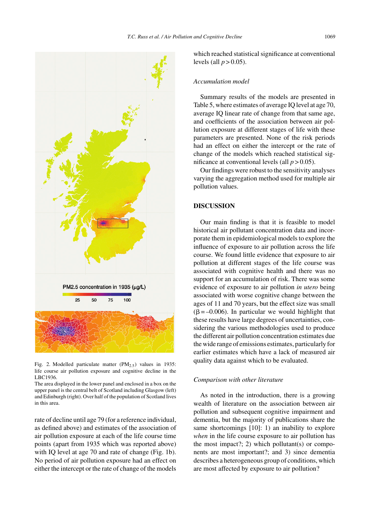

Fig. 2. Modelled particulate matter  $(PM<sub>2.5</sub>)$  values in 1935: life course air pollution exposure and cognitive decline in the LBC1936.

The area displayed in the lower panel and enclosed in a box on the upper panel is the central belt of Scotland including Glasgow (left) and Edinburgh (right). Over half of the population of Scotland lives in this area.

rate of decline until age 79 (for a reference individual, as defined above) and estimates of the association of air pollution exposure at each of the life course time points (apart from 1935 which was reported above) with IQ level at age 70 and rate of change (Fig. 1b). No period of air pollution exposure had an effect on either the intercept or the rate of change of the models

which reached statistical significance at conventional levels (all  $p > 0.05$ ).

### *Accumulation model*

Summary results of the models are presented in Table 5, where estimates of average IQ level at age 70, average IQ linear rate of change from that same age, and coefficients of the association between air pollution exposure at different stages of life with these parameters are presented. None of the risk periods had an effect on either the intercept or the rate of change of the models which reached statistical significance at conventional levels (all  $p > 0.05$ ).

Our findings were robust to the sensitivity analyses varying the aggregation method used for multiple air pollution values.

## **DISCUSSION**

Our main finding is that it is feasible to model historical air pollutant concentration data and incorporate them in epidemiological models to explore the influence of exposure to air pollution across the life course. We found little evidence that exposure to air pollution at different stages of the life course was associated with cognitive health and there was no support for an accumulation of risk. There was some evidence of exposure to air pollution *in utero* being associated with worse cognitive change between the ages of 11 and 70 years, but the effect size was small  $(\beta = -0.006)$ . In particular we would highlight that these results have large degrees of uncertainties, considering the various methodologies used to produce the different air pollution concentration estimates due the wide range of emissions estimates, particularly for earlier estimates which have a lack of measured air quality data against which to be evaluated.

#### *Comparison with other literature*

As noted in the introduction, there is a growing wealth of literature on the association between air pollution and subsequent cognitive impairment and dementia, but the majority of publications share the same shortcomings [10]: 1) an inability to explore *when* in the life course exposure to air pollution has the most impact?; 2) which pollutant(s) or components are most important?; and 3) since dementia describes a heterogeneous group of conditions, which are most affected by exposure to air pollution?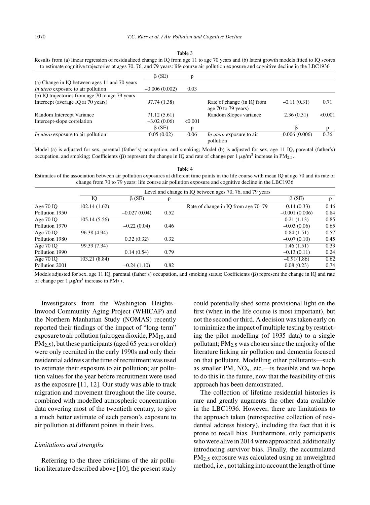#### Table 3

Results from (a) linear regression of residualized change in IQ from age 11 to age 70 years and (b) latent growth models fitted to IQ scores to estimate cognitive trajectories at ages 70, 76, and 79 years: life course air pollution exposure and cognitive decline in the LBC1936

|                                                 | $\beta$ (SE)    | D       |                                                   |                 |         |
|-------------------------------------------------|-----------------|---------|---------------------------------------------------|-----------------|---------|
| (a) Change in IQ between ages 11 and 70 years   |                 |         |                                                   |                 |         |
| In utero exposure to air pollution              | $-0.006(0.002)$ | 0.03    |                                                   |                 |         |
| (b) IQ trajectories from age 70 to age 79 years |                 |         |                                                   |                 |         |
| Intercept (average IQ at 70 years)              | 97.74 (1.38)    |         | Rate of change (in IQ from<br>age 70 to 79 years) | $-0.11(0.31)$   | 0.71    |
| Random Intercept Variance                       | 71.12 (5.61)    |         | Random Slopes variance                            | 2.36(0.31)      | < 0.001 |
| Intercept-slope correlation                     | $-3.02(0.06)$   | < 0.001 |                                                   |                 |         |
|                                                 | $\beta$ (SE)    | p       |                                                   | ß               | D       |
| In utero exposure to air pollution              | 0.05(0.02)      | 0.06    | <i>In utero</i> exposure to air<br>pollution      | $-0.006(0.006)$ | 0.36    |

Model (a) is adjusted for sex, parental (father's) occupation, and smoking; Model (b) is adjusted for sex, age 11 IQ, parental (father's) occupation, and smoking; Coefficients ( $\beta$ ) represent the change in IQ and rate of change per 1  $\mu g/m^3$  increase in PM<sub>2.5</sub>.

Table 4 Estimates of the association between air pollution exposures at different time points in the life course with mean IQ at age 70 and its rate of change from 70 to 79 years: life course air pollution exposure and cognitive decline in the LBC1936

|                |               |                |      | Level and change in IQ between ages 70, 76, and 79 years |                 |      |
|----------------|---------------|----------------|------|----------------------------------------------------------|-----------------|------|
|                | IQ            | $\beta$ (SE)   | p    |                                                          | $\beta$ (SE)    | p    |
| Age $70$ IQ    | 102.14(1.62)  |                |      | Rate of change in IQ from age 70–79                      | $-0.14(0.33)$   | 0.46 |
| Pollution 1950 |               | $-0.027(0.04)$ | 0.52 |                                                          | $-0.001(0.006)$ | 0.84 |
| Age $70$ IO    | 105.14(5.56)  |                |      |                                                          | 0.21(1.13)      | 0.85 |
| Pollution 1970 |               | $-0.22(0.04)$  | 0.46 |                                                          | $-0.03(0.06)$   | 0.65 |
| Age $70$ IO    | 96.38 (4.94)  |                |      |                                                          | 0.84(1.51)      | 0.57 |
| Pollution 1980 |               | 0.32(0.32)     | 0.32 |                                                          | $-0.07(0.10)$   | 0.45 |
| Age $70$ IO    | 99.39 (7.34)  |                |      |                                                          | 1.46(1.51)      | 0.33 |
| Pollution 1990 |               | 0.14(0.54)     | 0.79 |                                                          | $-0.13(0.11)$   | 0.24 |
| Age $70$ IO    | 103.21 (8.84) |                |      |                                                          | $-0.91(1.86)$   | 0.62 |
| Pollution 2001 |               | $-0.24(1.10)$  | 0.82 |                                                          | 0.08(0.23)      | 0.74 |

Models adjusted for sex, age 11 IQ, parental (father's) occupation, and smoking status; Coefficients ( $\beta$ ) represent the change in IQ and rate of change per  $1 \mu g/m^3$  increase in PM<sub>2.5</sub>.

Investigators from the Washington Heights– Inwood Community Aging Project (WHICAP) and the Northern Manhattan Study (NOMAS) recently reported their findings of the impact of "long-term" exposure to air pollution (nitrogen dioxide,  $PM_{10}$ , and PM<sub>2.5</sub>), but these participants (aged 65 years or older) were only recruited in the early 1990s and only their residential address at the time of recruitment was used to estimate their exposure to air pollution; air pollution values for the year before recruitment were used as the exposure [11, 12]. Our study was able to track migration and movement throughout the life course, combined with modelled atmospheric concentration data covering most of the twentieth century, to give a much better estimate of each person's exposure to air pollution at different points in their lives.

## *Limitations and strengths*

Referring to the three criticisms of the air pollution literature described above [10], the present study could potentially shed some provisional light on the first (when in the life course is most important), but not the second or third. A decision was taken early on to minimize the impact of multiple testing by restricting the pilot modelling (of 1935 data) to a single pollutant;  $PM_{2.5}$  was chosen since the majority of the literature linking air pollution and dementia focused on that pollutant. Modelling other pollutants—such as smaller PM,  $NO<sub>x</sub>$ , etc.—is feasible and we hope to do this in the future, now that the feasibility of this approach has been demonstrated.

The collection of lifetime residential histories is rare and greatly augments the other data available in the LBC1936. However, there are limitations to the approach taken (retrospective collection of residential address history), including the fact that it is prone to recall bias. Furthermore, only participants who were alive in 2014 were approached, additionally introducing survivor bias. Finally, the accumulated PM2.<sup>5</sup> exposure was calculated using an unweighted method, i.e., not taking into account the length of time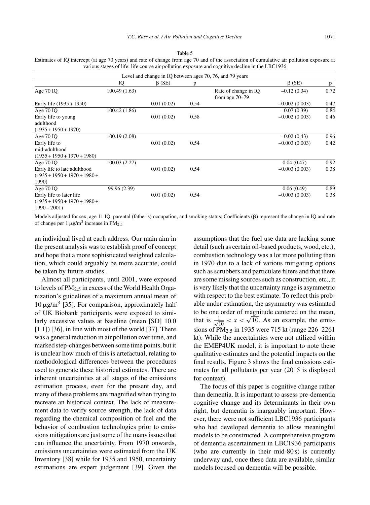| Estimates of IQ intercept (at age 70 years) and rate of change from age 70 and of the association of cumulative air pollution exposure at |
|-------------------------------------------------------------------------------------------------------------------------------------------|
| various stages of life: life course air pollution exposure and cognitive decline in the LBC1936                                           |

|                                                                             |               |              |      | Level and change in IQ between ages 70, 76, and 79 years |                 |      |
|-----------------------------------------------------------------------------|---------------|--------------|------|----------------------------------------------------------|-----------------|------|
|                                                                             | IQ            | $\beta$ (SE) | p    |                                                          | $\beta$ (SE)    | p    |
| Age $70$ IQ                                                                 | 100.49(1.63)  |              |      | Rate of change in IQ<br>from age $70-79$                 | $-0.12(0.34)$   | 0.72 |
| Early life $(1935 + 1950)$                                                  |               | 0.01(0.02)   | 0.54 |                                                          | $-0.002(0.003)$ | 0.47 |
| Age $70$ IQ                                                                 | 100.42 (1.86) |              |      |                                                          | $-0.07(0.39)$   | 0.84 |
| Early life to young<br>adulthood<br>$(1935 + 1950 + 1970)$                  |               | 0.01(0.02)   | 0.58 |                                                          | $-0.002(0.003)$ | 0.46 |
| Age $70$ IO                                                                 | 100.19 (2.08) |              |      |                                                          | $-0.02(0.43)$   | 0.96 |
| Early life to                                                               |               | 0.01(0.02)   | 0.54 |                                                          | $-0.003(0.003)$ | 0.42 |
| mid-adulthood<br>$(1935 + 1950 + 1970 + 1980)$                              |               |              |      |                                                          |                 |      |
| Age 70 IO                                                                   | 100.03 (2.27) |              |      |                                                          | 0.04(0.47)      | 0.92 |
| Early life to late adulthood<br>$(1935 + 1950 + 1970 + 1980 +$<br>1990)     |               | 0.01(0.02)   | 0.54 |                                                          | $-0.003(0.003)$ | 0.38 |
| Age $70$ IO                                                                 | 99.96 (2.39)  |              |      |                                                          | 0.06(0.49)      | 0.89 |
| Early life to later life<br>$(1935 + 1950 + 1970 + 1980 +$<br>$1990 + 2001$ |               | 0.01(0.02)   | 0.54 |                                                          | $-0.003(0.003)$ | 0.38 |

Models adjusted for sex, age 11 IQ, parental (father's) occupation, and smoking status; Coefficients ( $\beta$ ) represent the change in IQ and rate of change per 1  $\mu$ g/m<sup>3</sup> increase in PM<sub>2.5</sub>

an individual lived at each address. Our main aim in the present analysis was to establish proof of concept and hope that a more sophisticated weighted calculation, which could arguably be more accurate, could be taken by future studies.

Almost all participants, until 2001, were exposed to levels of  $PM_{2.5}$  in excess of the World Health Organization's guidelines of a maximum annual mean of  $10 \mu$ g/m<sup>3</sup> [35]. For comparison, approximately half of UK Biobank participants were exposed to similarly excessive values at baseline (mean [SD] 10.0  $[1.1]$  [36], in line with most of the world [37]. There was a general reduction in air pollution over time, and marked step-changes between some time points, but it is unclear how much of this is artefactual, relating to methodological differences between the procedures used to generate these historical estimates. There are inherent uncertainties at all stages of the emissions estimation process, even for the present day, and many of these problems are magnified when trying to recreate an historical context. The lack of measurement data to verify source strength, the lack of data regarding the chemical composition of fuel and the behavior of combustion technologies prior to emissions mitigations are just some of the many issues that can influence the uncertainty. From 1970 onwards, emissions uncertainties were estimated from the UK Inventory [38] while for 1935 and 1950, uncertainty estimations are expert judgement [39]. Given the

assumptions that the fuel use data are lacking some detail (such as certain oil-based products, wood, etc.), combustion technology was a lot more polluting than in 1970 due to a lack of various mitigating options such as scrubbers and particulate filters and that there are some missing sources such as construction, etc., it is very likely that the uncertainty range is asymmetric with respect to the best estimate. To reflect this probable under estimation, the asymmetry was estimated to be one order of magnitude centered on the mean, that is  $\frac{1}{\sqrt{10}} < x < \sqrt{10}$ . As an example, the emissions of PM<sub>2.5</sub> in 1935 were 715 kt (range 226–2261) kt). While the uncertainties were not utilized within the EMEP4UK model, it is important to note these qualitative estimates and the potential impacts on the final results. Figure 3 shows the final emissions estimates for all pollutants per year (2015 is displayed for context).

The focus of this paper is cognitive change rather than dementia. It is important to assess pre-dementia cognitive change and its determinants in their own right, but dementia is inarguably important. However, there were not sufficient LBC1936 participants who had developed dementia to allow meaningful models to be constructed. A comprehensive program of dementia ascertainment in LBC1936 participants (who are currently in their mid-80 s) is currently underway and, once these data are available, similar models focused on dementia will be possible.

Table 5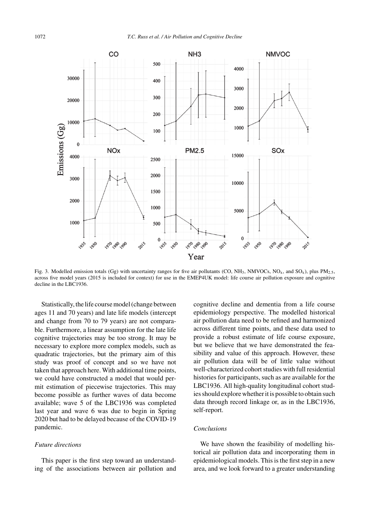

Fig. 3. Modelled emission totals (Gg) with uncertainty ranges for five air pollutants (CO, NH<sub>3</sub>, NMVOCs, NO<sub>x</sub>, and SO<sub>x</sub>), plus PM<sub>2.5</sub>, across five model years (2015 is included for context) for use in the EMEP4UK model: life course air pollution exposure and cognitive decline in the LBC1936.

Statistically, the life course model (change between ages 11 and 70 years) and late life models (intercept and change from 70 to 79 years) are not comparable. Furthermore, a linear assumption for the late life cognitive trajectories may be too strong. It may be necessary to explore more complex models, such as quadratic trajectories, but the primary aim of this study was proof of concept and so we have not taken that approach here. With additional time points, we could have constructed a model that would permit estimation of piecewise trajectories. This may become possible as further waves of data become available; wave 5 of the LBC1936 was completed last year and wave 6 was due to begin in Spring 2020 but had to be delayed because of the COVID-19 pandemic.

### *Future directions*

This paper is the first step toward an understanding of the associations between air pollution and cognitive decline and dementia from a life course epidemiology perspective. The modelled historical air pollution data need to be refined and harmonized across different time points, and these data used to provide a robust estimate of life course exposure, but we believe that we have demonstrated the feasibility and value of this approach. However, these air pollution data will be of little value without well-characterized cohort studies with full residential histories for participants, such as are available for the LBC1936. All high-quality longitudinal cohort studies should explore whether it is possible to obtain such data through record linkage or, as in the LBC1936, self-report.

## *Conclusions*

We have shown the feasibility of modelling historical air pollution data and incorporating them in epidemiological models. This is the first step in a new area, and we look forward to a greater understanding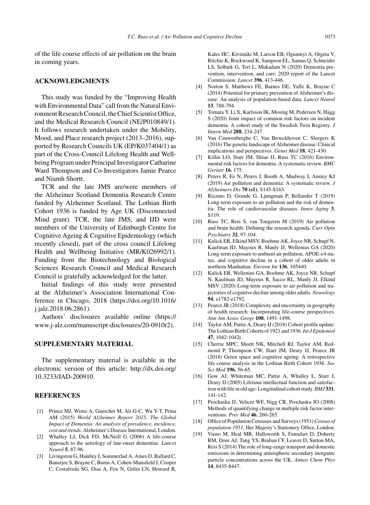of the life course effects of air pollution on the brain in coming years.

## **ACKNOWLEDGMENTS**

This study was funded by the "Improving Health with Environmental Data" call from the Natural Environment Research Council, the Chief Scientist Office, and the Medical Research Council (NE/P010849/1). It follows research undertaken under the Mobility, Mood, and Place research project (2013–2016), supported by Research Councils UK (EP/K037404/1) as part of the Cross-Council Lifelong Health and Wellbeing Program under Principal Investigator Catharine Ward Thompson and Co-Investigators Jamie Pearce and Niamh Shortt.

TCR and the late JMS are/were members of the Alzheimer Scotland Dementia Research Centre funded by Alzheimer Scotland. The Lothian Birth Cohort 1936 is funded by Age UK (Disconnected Mind grant). TCR, the late JMS, and IJD were members of the University of Edinburgh Centre for Cognitive Ageing & Cognitive Epidemiology (which recently closed), part of the cross council Lifelong Health and Wellbeing Initiative (MR/K026992/1). Funding from the Biotechnology and Biological Sciences Research Council and Medical Research Council is gratefully acknowledged for the latter.

Initial findings of this study were presented at the Alzheimer's Association International Conference in Chicago, 2018 [\(https://doi.org/10.1016/](https://doi.org/10.1016/j.jalz.2018.06.2861) [j.jalz.2018.06.2861\)](https://doi.org/10.1016/j.jalz.2018.06.2861).

Authors' disclosures available online ([https://](https://www.j-alz.com/manuscript-disclosures/20-0910r2) [www.j-alz.com/manuscript-disclosures/20-0910r2\)](https://www.j-alz.com/manuscript-disclosures/20-0910r2).

## **SUPPLEMENTARY MATERIAL**

The supplementary material is available in the electronic version of this article: [http://dx.doi.org/](http://dx.doi.org/10.3233/JAD-200910) [10.3233/JAD-200910.](http://dx.doi.org/10.3233/JAD-200910)

#### **REFERENCES**

- [1] Prince MJ, Wimo A, Guerchet M, Ali G-C, Wu Y-T, Prina AM (2015) *World Alzheimer Report 2015. The Global Impact of Dementia: An analysis of prevalence, incidence, cost and trends*. Alzheimer's Disease International, London.
- [2] Whalley LJ, Dick FD, McNeill G (2006) A life-course approach to the aetiology of late-onset dementias. *Lancet Neurol* **5**, 87-96.
- [3] Livingston G, Huntley J, Sommerlad A, Ames D, Ballard C, Banerjee S, Brayne C, Burns A, Cohen-Mansfield J, Cooper C, Costafreda SG, Dias A, Fox N, Gitlin LN, Howard R,

Kales HC, Kivimäki M, Larson EB, Ogunniyi A, Orgeta V, Ritchie K, Rockwood K, Sampson EL, Samus Q, Schneider LS, Selbæk G, Teri L, Mukadam N (2020) Dementia prevention, intervention, and care: 2020 report of the Lancet Commission. *Lancet* **396**, 413-446.

- [4] Norton S, Matthews FE, Barnes DE, Yaffe K, Brayne C (2014) Potential for primary prevention of Alzheimer's disease: An analysis of population-based data. *Lancet Neurol* **13**, 788-794.
- [5] Tomata Y, Li X, Karlsson IK, Mosing M, Pedersen N, Hägg S (2020) Joint impact of common risk factors on incident dementia: A cohort study of the Swedish Twin Registry. *J Intern Med* **288**, 234-247.
- [6] Van Cauwenberghe C, Van Broeckhoven C, Sleegers K (2016) The genetic landscape of Alzheimer disease: Clinical implications and perspectives. *Genet Med* **18**, 421-430.
- [7] Killin LO, Starr JM, Shiue IJ, Russ TC (2016) Environmental risk factors for dementia: A systematic review. *BMC Geriatr* **16**, 175.
- [8] Peters R, Ee N, Peters J, Booth A, Mudway I, Anstey KJ (2019) Air pollution and dementia: A systematic review. *J Alzheimers Dis* **70 (s1)**, S145-S163.
- [9] Rizzuto D, Grande G, Ljungman P, Bellander T (2019) Long-term exposure to air pollution and the risk of dementia: The role of cardiovascular diseases. *Innov Aging* **3**, S119.
- [10] Russ TC, Reis S, van Tongeren M (2019) Air pollution and brain health: Defining the research agenda. *Curr Opin Psychiatry* **32**, 97-104.
- [11] Kulick ER, Elkind MSV, Boehme AK, Joyce NR, Schupf N, Kaufman JD, Mayeux R, Manly JJ, Wellenius GA (2020) Long-term exposure to ambient air pollution, APOE- $\varepsilon$ 4 status, and cognitive decline in a cohort of older adults in northern Manhattan. *Environ Int* **136**, 105440.
- [12] Kulick ER, Wellenius GA, Boehme AK, Joyce NR, Schupf N, Kaufman JD, Mayeux R, Sacco RL, Manly JJ, Elkind MSV (2020) Long-term exposure to air pollution and trajectories of cognitive decline among older adults.*Neurology* **94**, e1782-e1792.
- [13] Pearce JR (2018) Complexity and uncertainty in geography of health research: Incorporating life-course perspectives. *Ann Am Assoc Geogr* **108**, 1491-1498.
- [14] Taylor AM, Pattie A, Deary IJ (2018) Cohort profile update: The Lothian Birth Cohorts of 1921 and 1936.*Int J Epidemiol* **47**, 1042-1042r.
- [15] Cherrie MPC, Shortt NK, Mitchell RJ, Taylor AM, Redmond P, Thompson CW, Starr JM, Deary IJ, Pearce JR (2018) Green space and cognitive ageing: A retrospective life course analysis in the Lothian Birth Cohort 1936. *Soc Sci Med* **196**, 56-65.
- [16] Gow AJ, Whiteman MC, Pattie A, Whalley L, Starr J, Deary IJ (2005) Lifetime intellectual function and satisfaction with life in old age: Longitudinal cohort study.*BMJ* **331**, 141-142.
- [17] Prochaska JJ, Velicer WF, Nigg CR, Prochaska JO (2008) Methods of quantifying change in multiple risk factor interventions. *Prev Med* **46**, 260-265.
- [18] Office of Population Censuses and Surveys (1951)*Census of population 1951*, Her Majesty's Stationery Office, London.
- [19] Vieno M, Heal MR, Hallsworth S, Famulari D, Doherty RM, Dore AJ, Tang YS, Braban CF, Leaver D, Sutton MA, Reis S (2014) The role of long-range transport and domestic emissions in determining atmospheric secondary inorganic particle concentrations across the UK. *Atmos Chem Phys* **14**, 8435-8447.